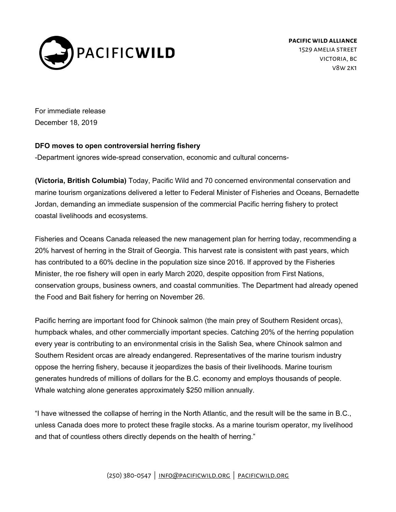

**pacificwild alliance** 1529 amelia street victoria, bc v8w 2k1

For immediate release December 18, 2019

## **DFO moves to open controversial herring fishery**

-Department ignores wide-spread conservation, economic and cultural concerns-

**(Victoria, British Columbia)** Today, Pacific Wild and 70 concerned environmental conservation and marine tourism organizations delivered a letter to Federal Minister of Fisheries and Oceans, Bernadette Jordan, demanding an immediate suspension of the commercial Pacific herring fishery to protect coastal livelihoods and ecosystems.

Fisheries and Oceans Canada released the new management plan for herring today, recommending a 20% harvest of herring in the Strait of Georgia. This harvest rate is consistent with past years, which has contributed to a 60% decline in the population size since 2016. If approved by the Fisheries Minister, the roe fishery will open in early March 2020, despite opposition from First Nations, conservation groups, business owners, and coastal communities. The Department had already opened the Food and Bait fishery for herring on November 26.

Pacific herring are important food for Chinook salmon (the main prey of Southern Resident orcas), humpback whales, and other commercially important species. Catching 20% of the herring population every year is contributing to an environmental crisis in the Salish Sea, where Chinook salmon and Southern Resident orcas are already endangered. Representatives of the marine tourism industry oppose the herring fishery, because it jeopardizes the basis of their livelihoods. Marine tourism generates hundreds of millions of dollars for the B.C. economy and employs thousands of people. Whale watching alone generates approximately \$250 million annually.

"I have witnessed the collapse of herring in the North Atlantic, and the result will be the same in B.C., unless Canada does more to protect these fragile stocks. As a marine tourism operator, my livelihood and that of countless others directly depends on the health of herring."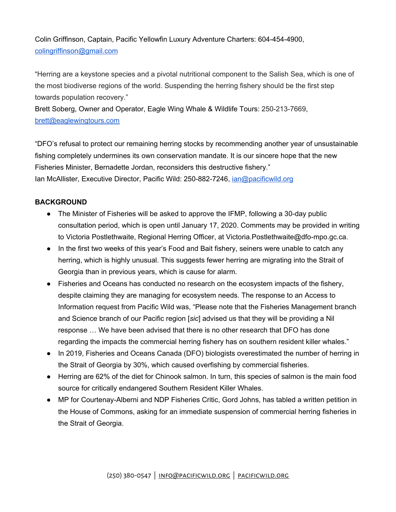Colin Griffinson, Captain, Pacific Yellowfin Luxury Adventure Charters: 604-454-4900, [colingriffinson@gmail.com](mailto:colingriffinson@gmail.com)

"Herring are a keystone species and a pivotal nutritional component to the Salish Sea, which is one of the most biodiverse regions of the world. Suspending the herring fishery should be the first step towards population recovery."

Brett Soberg, Owner and Operator, Eagle Wing Whale & Wildlife Tours: 250-213-7669, [brett@eaglewingtours.com](mailto:brett@eaglewingtours.com)

"DFO's refusal to protect our remaining herring stocks by recommending another year of unsustainable fishing completely undermines its own conservation mandate. It is our sincere hope that the new Fisheries Minister, Bernadette Jordan, reconsiders this destructive fishery." Ian McAllister, Executive Director, Pacific Wild: 250-882-7246, [ian@pacificwild.org](mailto:ian@pacificwild.org)

## **BACKGROUND**

- The Minister of Fisheries will be asked to approve the IFMP, following a 30-day public consultation period, which is open until January 17, 2020. Comments may be provided in writing to Victoria Postlethwaite, Regional Herring Officer, at Victoria.Postlethwaite@dfo-mpo.gc.ca.
- In the first two weeks of this year's Food and Bait fishery, seiners were unable to catch any herring, which is highly unusual. This suggests fewer herring are migrating into the Strait of Georgia than in previous years, which is cause for alarm.
- Fisheries and Oceans has conducted no research on the ecosystem impacts of the fishery, despite claiming they are managing for ecosystem needs. The response to an Access to Information request from Pacific Wild was, "Please note that the Fisheries Management branch and Science branch of our Pacific region [*sic*] advised us that they will be providing a Nil response … We have been advised that there is no other research that DFO has done regarding the impacts the commercial herring fishery has on southern resident killer whales."
- In 2019, Fisheries and Oceans Canada (DFO) biologists overestimated the number of herring in the Strait of Georgia by 30%, which caused overfishing by commercial fisheries.
- Herring are 62% of the diet for Chinook salmon. In turn, this species of salmon is the main food source for critically endangered Southern Resident Killer Whales.
- MP for Courtenay-Alberni and NDP Fisheries Critic, Gord Johns, has tabled a written petition in the House of Commons, asking for an immediate suspension of commercial herring fisheries in the Strait of Georgia.